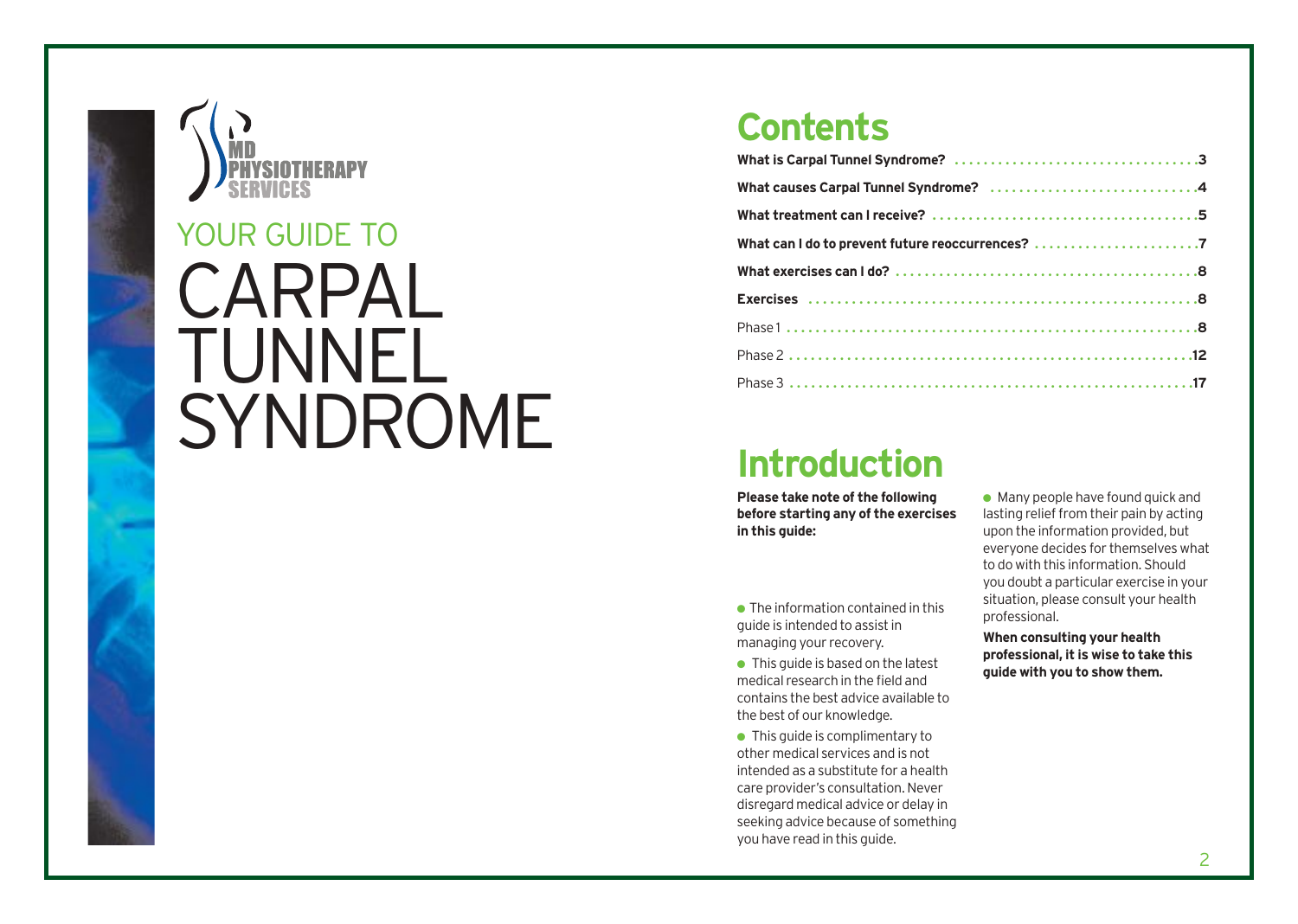

## **Contents**

| What can I do to prevent future reoccurrences? |
|------------------------------------------------|
|                                                |
|                                                |
|                                                |
|                                                |
|                                                |

# **Introduction**

**Please take note of the following before starting any of the exercises in this guide:**

 $\bullet$  The information contained in this guide is intended to assist in managing your recovery.

 $\bullet$  This guide is based on the latest medical research in the field and contains the best advice available to the best of our knowledge.

● This quide is complimentary to other medical services and is not intended as a substitute for a health care provider's consultation. Never disregard medical advice or delay in seeking advice because of something you have read in this guide.

 $\bullet$  Many people have found quick and lasting relief from their pain by acting upon the information provided, but everyone decides for themselves what to do with this information. Should you doubt a particular exercise in your situation, please consult your health professional.

**When consulting your health professional, it is wise to take this guide with you to show them.**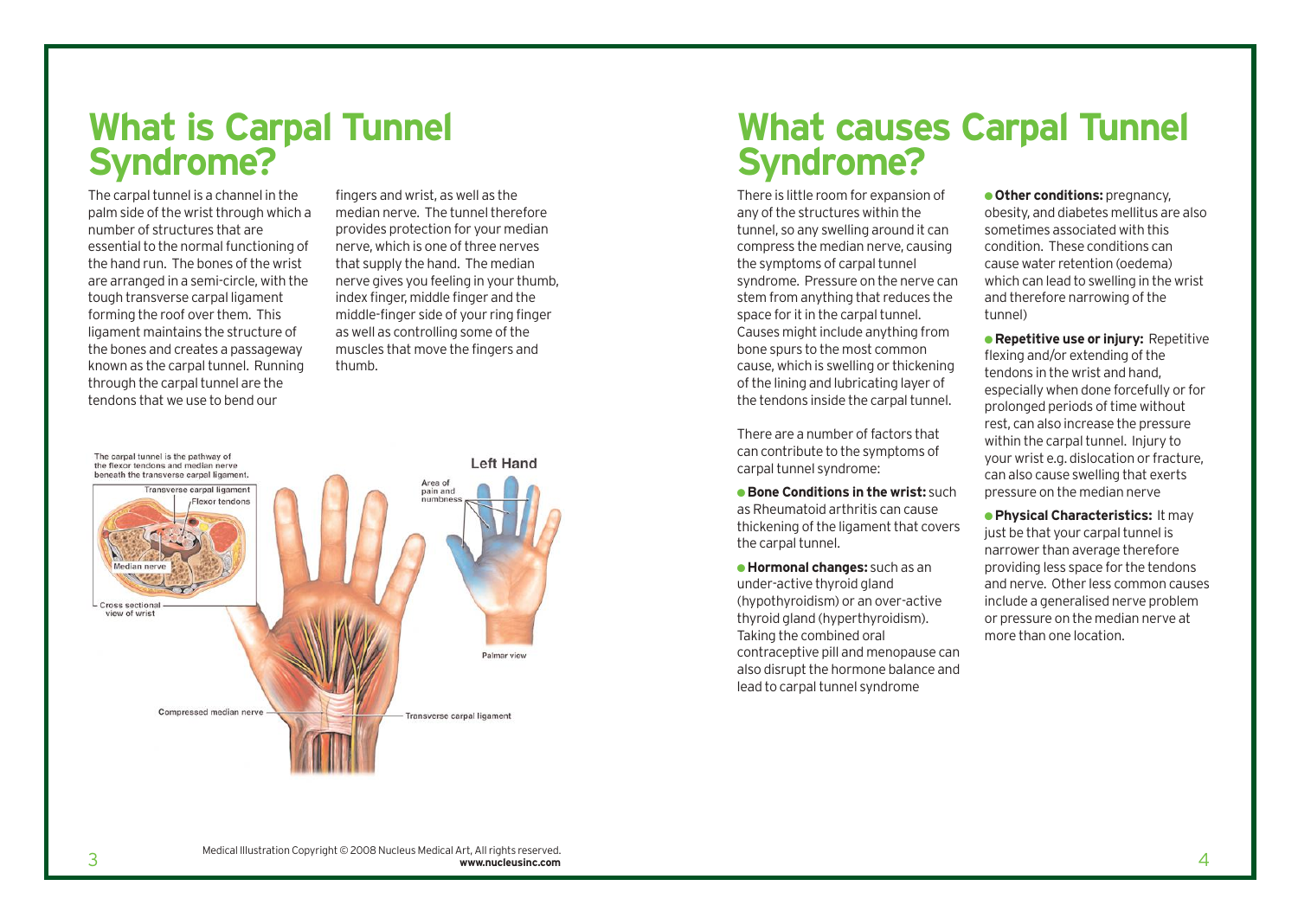# **What is Carpal Tunnel Syndrome?**

The carpal tunnel is a channel in the palm side of the wrist through which a number of structures that are essential to the normal functioning of the hand run. The bones of the wrist are arranged in a semi-circle, with the tough transverse carpal ligament forming the roof over them. This ligament maintains the structure of the bones and creates a passageway known as the carpal tunnel. Running through the carpal tunnel are the tendons that we use to bend our

fingers and wrist, as well as the median nerve. The tunnel therefore provides protection for your median nerve, which is one of three nerves that supply the hand. The median nerve gives you feeling in your thumb, index finger, middle finger and the middle-finger side of your ring finger as well as controlling some of the muscles that move the fingers and thumb.



## **What causes Carpal Tunnel Syndrome?**

There is little room for expansion of any of the structures within the tunnel, so any swelling around it can compress the median nerve, causing the symptoms of carpal tunnel syndrome. Pressure on the nerve can stem from anything that reduces the space for it in the carpal tunnel. Causes might include anything from bone spurs to the most common cause, which is swelling or thickening of the lining and lubricating layer of the tendons inside the carpal tunnel.

There are a number of factors that can contribute to the symptoms of carpal tunnel syndrome:

● **Bone Conditions in the wrist:** such as Rheumatoid arthritis can cause thickening of the ligament that covers the carpal tunnel.

● **Hormonal changes:** such as an under-active thyroid gland (hypothyroidism) or an over-active thyroid gland (hyperthyroidism). Taking the combined oral contraceptive pill and menopause can also disrupt the hormone balance and lead to carpal tunnel syndrome

● **Other conditions:** pregnancy, obesity, and diabetes mellitus are also sometimes associated with this condition. These conditions can cause water retention (oedema) which can lead to swelling in the wrist and therefore narrowing of the tunnel)

● **Repetitive use or injury:** Repetitive flexing and/or extending of the tendons in the wrist and hand, especially when done forcefully or for prolonged periods of time without rest, can also increase the pressure within the carpal tunnel. Injury to your wrist e.g. dislocation or fracture, can also cause swelling that exerts pressure on the median nerve

● **Physical Characteristics:** It may just be that your carpal tunnel is narrower than average therefore providing less space for the tendons and nerve. Other less common causes include a generalised nerve problem or pressure on the median nerve at more than one location.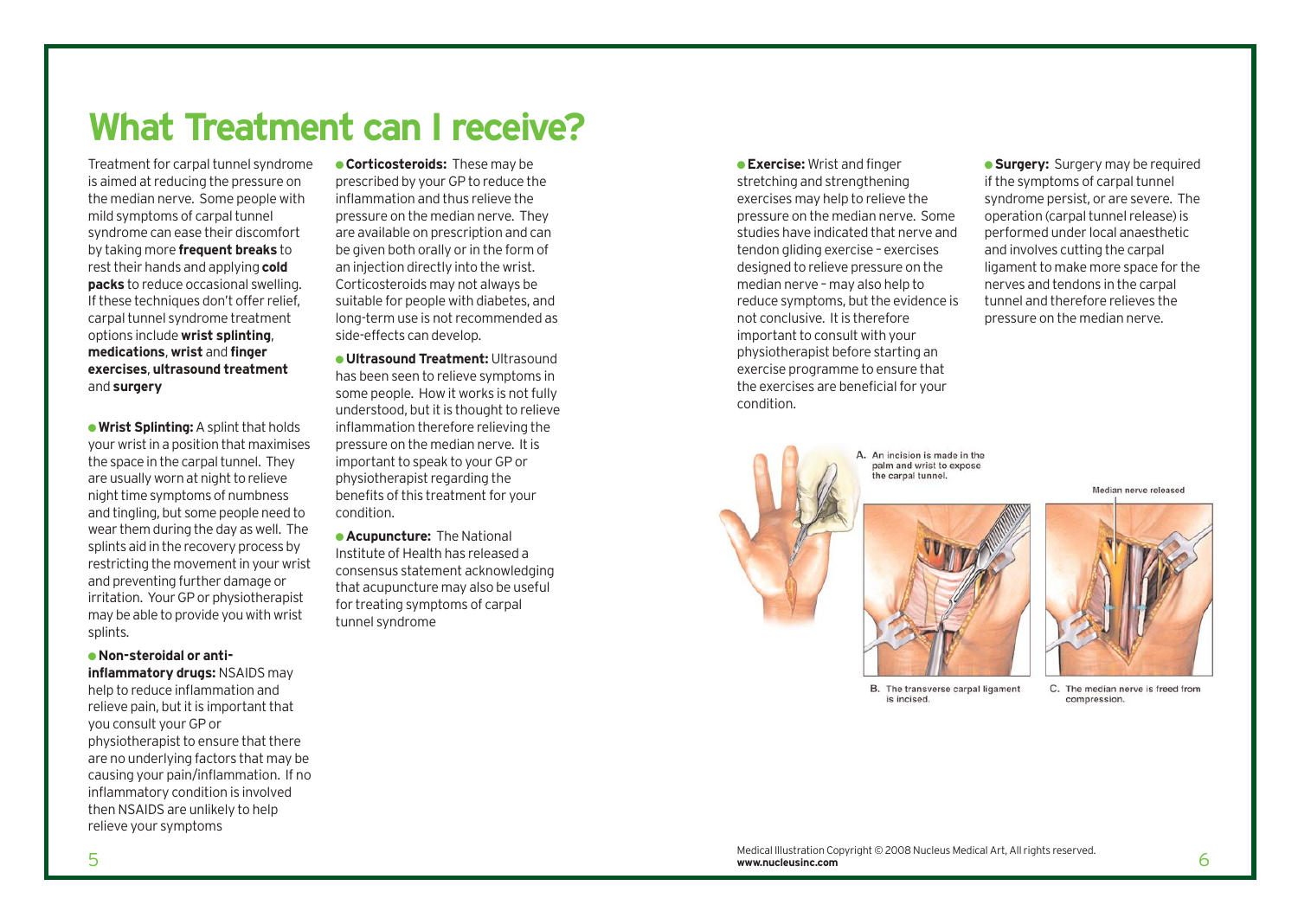# **What Treatment can I receive?**

Treatment for carpal tunnel syndrome is aimed at reducing the pressure on the median nerve. Some people with mild symptoms of carpal tunnel syndrome can ease their discomfort by taking more **frequent breaks** to rest their hands and applying **cold packs** to reduce occasional swelling. If these techniques don't offer relief, carpal tunnel syndrome treatment options include **wrist splinting**, **medications**, **wrist** and **finger exercises**, **ultrasound treatment** and **surgery**

● **Wrist Splinting:**A splint that holds your wrist in a position that maximises the space in the carpal tunnel. They are usually worn at night to relieve night time symptoms of numbness and tingling, but some people need to wear them during the day as well. The splints aid in the recovery process by restricting the movement in your wrist and preventing further damage or irritation. Your GP or physiotherapist may be able to provide you with wrist splints.

#### ● **Non-steroidal or anti-**

**inflammatory drugs:** NSAIDS may help to reduce inflammation and relieve pain, but it is important that you consult your GP or physiotherapist to ensure that there are no underlying factors that may be causing your pain/inflammation. If no inflammatory condition is involved then NSAIDS are unlikely to help relieve your symptoms

● **Corticosteroids:** These may be prescribed by your GP to reduce the inflammation and thus relieve the pressure on the median nerve. They are available on prescription and can be given both orally or in the form of an injection directly into the wrist. Corticosteroids may not always be suitable for people with diabetes, and long-term use is not recommended as side-effects can develop.

● **Ultrasound Treatment:** Ultrasound has been seen to relieve symptoms in some people. How it works is not fully understood, but it is thought to relieve inflammation therefore relieving the pressure on the median nerve. It is important to speak to your GP or physiotherapist regarding the benefits of this treatment for your condition.

● **Acupuncture:** The National Institute of Health has released a consensus statement acknowledging that acupuncture may also be useful for treating symptoms of carpal tunnel syndrome

● **Exercise:** Wrist and finger stretching and strengthening exercises may help to relieve the pressure on the median nerve. Some studies have indicated that nerve and tendon gliding exercise – exercises designed to relieve pressure on the median nerve – may also help to reduce symptoms, but the evidence is not conclusive. It is therefore important to consult with your physiotherapist before starting an exercise programme to ensure that the exercises are beneficial for your condition.

**• Surgery:** Surgery may be required if the symptoms of carpal tunnel syndrome persist, or are severe. The operation (carpal tunnel release) is performed under local anaesthetic and involves cutting the carpal ligament to make more space for the nerves and tendons in the carpal tunnel and therefore relieves the pressure on the median nerve.







B. The transverse carpal ligament is incised.

C. The median nerve is freed from compression.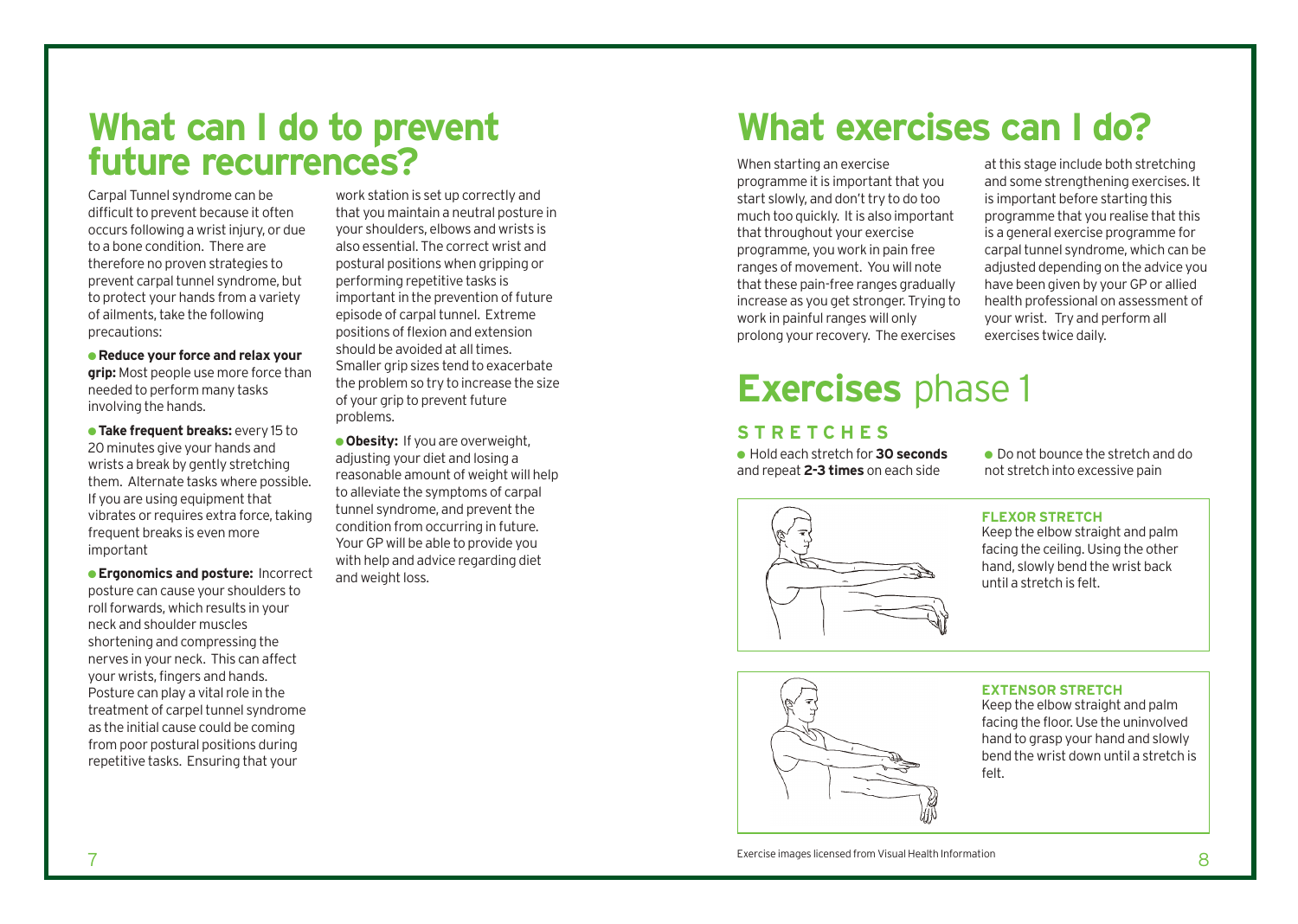## **What can I do to prevent future recurrences?**

Carpal Tunnel syndrome can be difficult to prevent because it often occurs following a wrist injury, or due to a bone condition. There are therefore no proven strategies to prevent carpal tunnel syndrome, but to protect your hands from a variety of ailments, take the following precautions:

● **Reduce your force and relax your grip:** Most people use more force than needed to perform many tasks involving the hands.

● **Take frequent breaks:** every 15 to 20 minutes give your hands and wrists a break by gently stretching them. Alternate tasks where possible. If you are using equipment that vibrates or requires extra force, taking frequent breaks is even more important

● **Ergonomics and posture:** Incorrect posture can cause your shoulders to roll forwards, which results in your neck and shoulder muscles shortening and compressing the nerves in your neck. This can affect your wrists, fingers and hands. Posture can play a vital role in the treatment of carpel tunnel syndrome as the initial cause could be coming from poor postural positions during repetitive tasks. Ensuring that your

work station is set up correctly and that you maintain a neutral posture in your shoulders, elbows and wrists is also essential. The correct wrist and postural positions when gripping or performing repetitive tasks is important in the prevention of future episode of carpal tunnel. Extreme positions of flexion and extension should be avoided at all times. Smaller grip sizes tend to exacerbate the problem so try to increase the size of your grip to prevent future problems.

**. Obesity:** If you are overweight, adjusting your diet and losing a reasonable amount of weight will help to alleviate the symptoms of carpal tunnel syndrome, and prevent the condition from occurring in future. Your GP will be able to provide you with help and advice regarding diet and weight loss.

# **What exercises can I do?**

When starting an exercise programme it is important that you start slowly, and don't try to do too much too quickly. It is also important that throughout your exercise programme, you work in pain free ranges of movement. You will note that these pain-free ranges gradually increase as you get stronger. Trying to work in painful ranges will only prolong your recovery. The exercises

at this stage include both stretching and some strengthening exercises. It is important before starting this programme that you realise that this is a general exercise programme for carpal tunnel syndrome, which can be adjusted depending on the advice you have been given by your GP or allied health professional on assessment of your wrist. Try and perform all exercises twice daily.

# **Exercises** phase 1

### **STRETCHES**

● Hold each stretch for **30 seconds** and repeat **2-3 times** on each side

● Do not bounce the stretch and do not stretch into excessive pain

#### **FLEXOR STRETCH**

Keep the elbow straight and palm facing the ceiling. Using the other hand, slowly bend the wrist back until a stretch is felt.

#### **EXTENSOR STRETCH**

Keep the elbow straight and palm facing the floor. Use the uninvolved hand to grasp your hand and slowly bend the wrist down until a stretch is felt.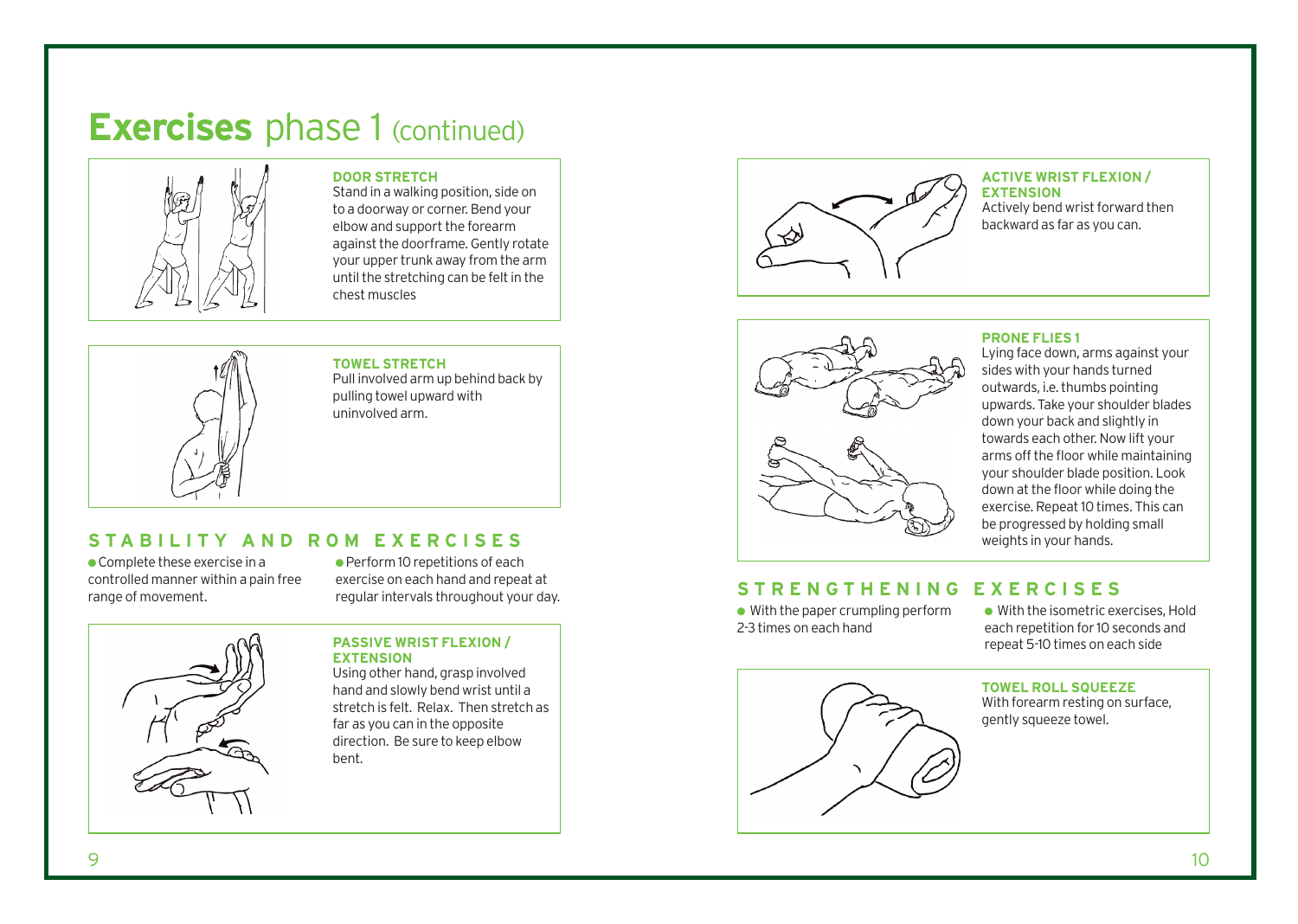# **Exercises** phase 1 (continued)



#### **DOOR STRETCH**

Stand in a walking position, side on to a doorway or corner. Bend your elbow and support the forearm against the doorframe. Gently rotate your upper trunk away from the arm until the stretching can be felt in the chest muscles



**TOWEL STRETCH**  Pull involved arm up behind back by pulling towel upward with uninvolved arm.

### **STABILITY AND ROM EXERCISES**

 $\bullet$  Complete these exercise in a controlled manner within a pain free range of movement.

● Perform 10 repetitions of each exercise on each hand and repeat at regular intervals throughout your day.



**PASSIVE WRIST FLEXION / EXTENSION** 

Using other hand, grasp involved hand and slowly bend wrist until a stretch is felt. Relax. Then stretch as far as you can in the opposite direction. Be sure to keep elbow bent.



#### **ACTIVE WRIST FLEXION / EXTENSION**

Actively bend wrist forward then backward as far as you can.



#### **PRONE FLIES 1**

Lying face down, arms against your sides with your hands turned outwards, i.e. thumbs pointing upwards. Take your shoulder blades down your back and slightly in towards each other. Now lift your arms off the floor while maintaining your shoulder blade position. Look down at the floor while doing the exercise. Repeat 10 times. This can be progressed by holding small weights in your hands.

### **STRENGTHENING EXERCISES**

 $\bullet$  With the paper crumpling perform 2-3 times on each hand

● With the isometric exercises, Hold each repetition for 10 seconds and repeat 5-10 times on each side



### With forearm resting on surface, gently squeeze towel.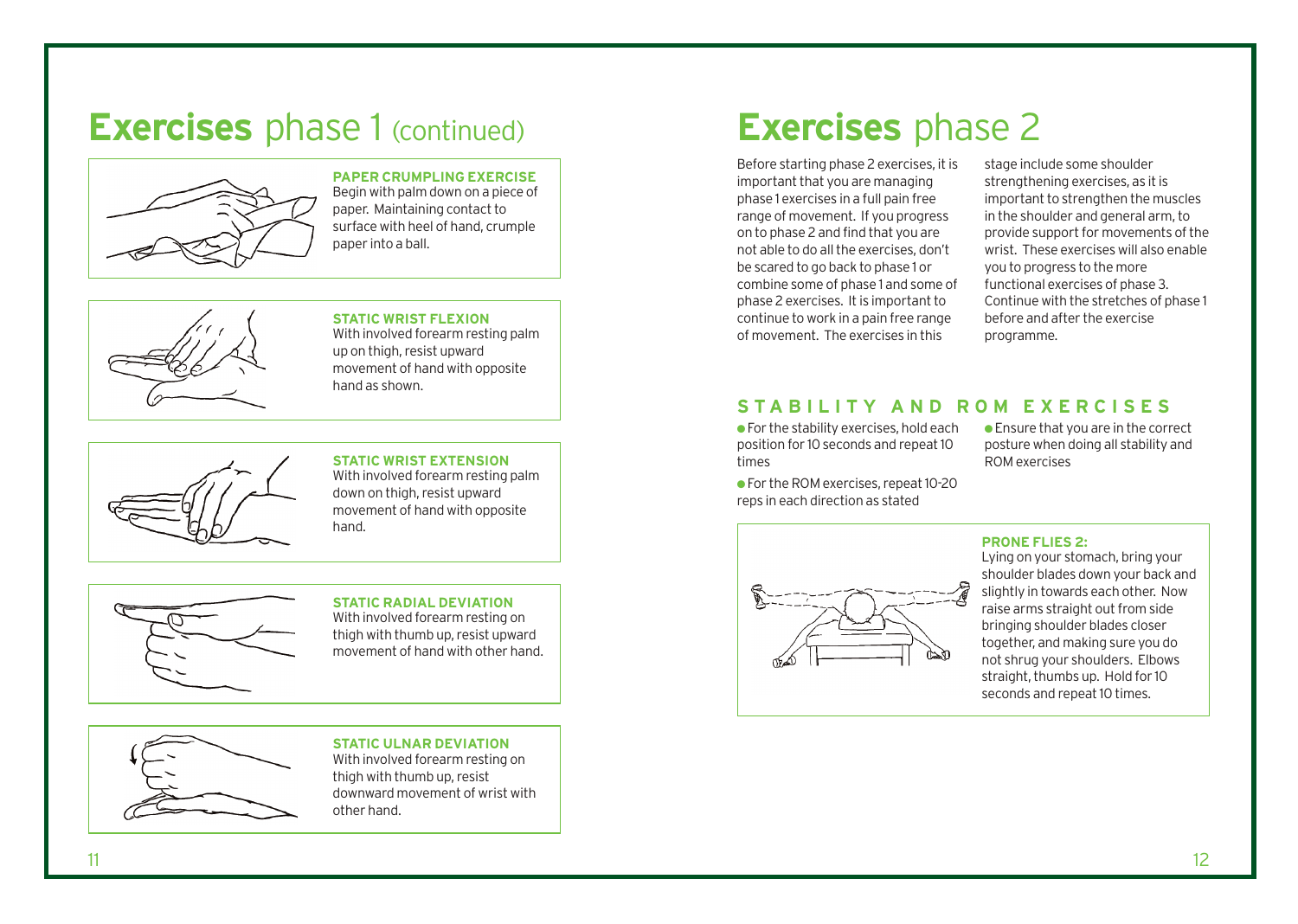# **Exercises** phase 1 (continued)



### **PAPER CRUMPLING EXERCISE**

Begin with palm down on a piece of paper. Maintaining contact to surface with heel of hand, crumple paper into a ball.



#### **STATIC WRIST FLEXION**

With involved forearm resting palm up on thigh, resist upward movement of hand with opposite hand as shown.



### **STATIC WRIST EXTENSION**

With involved forearm resting palm down on thigh, resist upward movement of hand with opposite hand.



### **STATIC RADIAL DEVIATION**

With involved forearm resting on thigh with thumb up, resist upward movement of hand with other hand.



### **STATIC ULNAR DEVIATION**

With involved forearm resting on thigh with thumb up, resist downward movement of wrist with other hand.

# **Exercises** phase 2

Before starting phase 2 exercises, it is important that you are managing phase 1 exercises in a full pain free range of movement. If you progress on to phase 2 and find that you are not able to do all the exercises, don't be scared to go back to phase 1 or combine some of phase 1 and some of phase 2 exercises. It is important to continue to work in a pain free range of movement. The exercises in this

stage include some shoulder strengthening exercises, as it is important to strengthen the muscles in the shoulder and general arm, to provide support for movements of the wrist. These exercises will also enable you to progress to the more functional exercises of phase 3. Continue with the stretches of phase 1 before and after the exercise programme.

### **STABILITY AND ROM EXERCISES**

 $\bullet$  For the stability exercises, hold each position for 10 seconds and repeat 10 times

● For the ROM exercises, repeat 10-20 reps in each direction as stated

● Ensure that you are in the correct posture when doing all stability and ROM exercises

### **PRONE FLIES 2:**

Lying on your stomach, bring your shoulder blades down your back and slightly in towards each other. Now raise arms straight out from side bringing shoulder blades closer together, and making sure you do not shrug your shoulders. Elbows straight, thumbs up. Hold for 10 seconds and repeat 10 times.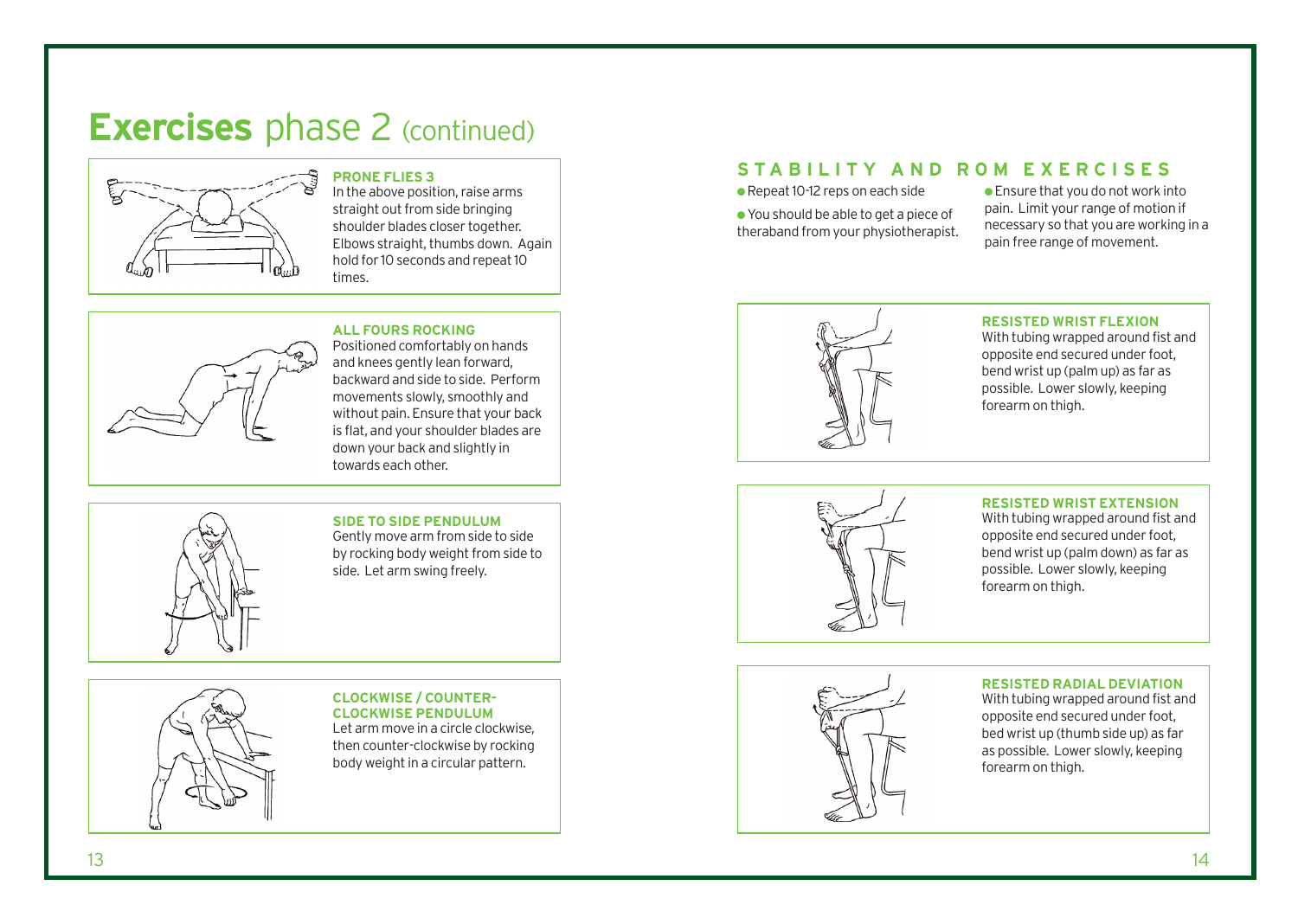# **Exercises** phase 2 (continued)



### **PRONE FLIES 3**

In the above position, raise arms straight out from side bringing shoulder blades closer together. Elbows straight, thumbs down. Again hold for 10 seconds and repeat 10 times.



## **ALL FOURS ROCKING**

Positioned comfortably on hands and knees gently lean forward, backward and side to side. Perform movements slowly, smoothly and without pain. Ensure that your back is flat, and your shoulder blades are down your back and slightly in towards each other.

### **SIDE TO SIDE PENDULUM**

Gently move arm from side to side by rocking body weight from side to side. Let arm swing freely.

## **CLOCKWISE / COUNTER-CLOCKWISE PENDULUM** Let arm move in a circle clockwise,

then counter-clockwise by rocking body weight in a circular pattern.

### **STABILITY AND ROM EXERCISES**

● Repeat 10-12 reps on each side

● You should be able to get a piece of theraband from your physiotherapist. ● Ensure that you do not work into pain. Limit your range of motion if necessary so that you are working in a pain free range of movement.



#### **RESISTED WRIST FLEXION**

With tubing wrapped around fist and opposite end secured under foot, bend wrist up (palm up) as far as possible. Lower slowly, keeping forearm on thigh.



#### **RESISTED WRIST EXTENSION**

With tubing wrapped around fist and opposite end secured under foot, bend wrist up (palm down) as far as possible. Lower slowly, keeping forearm on thigh.

### **RESISTED RADIAL DEVIATION**

With tubing wrapped around fist and opposite end secured under foot, bed wrist up (thumb side up) as far as possible. Lower slowly, keeping forearm on thigh.

### 13 14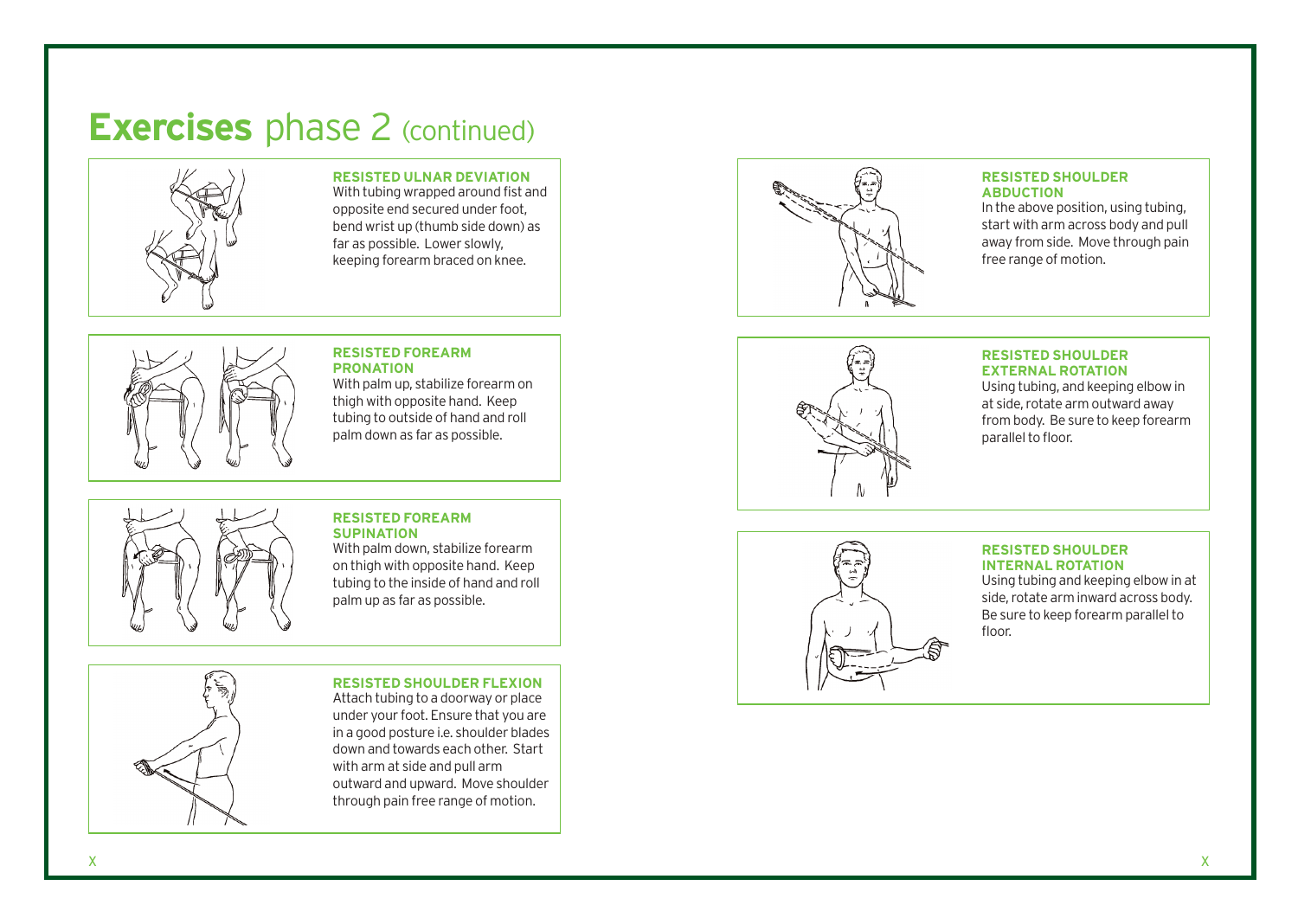# **Exercises** phase 2 (continued)



**RESISTED ULNAR DEVIATION** 

With tubing wrapped around fist and opposite end secured under foot, bend wrist up (thumb side down) as far as possible. Lower slowly, keeping forearm braced on knee.



### **RESISTED FOREARM PRONATION**

With palm up, stabilize forearm on thigh with opposite hand. Keep tubing to outside of hand and roll palm down as far as possible.

#### **RESISTED FOREARM SUPINATION**

With palm down, stabilize forearm on thigh with opposite hand. Keep tubing to the inside of hand and roll palm up as far as possible.



**RESISTED SHOULDER FLEXION**  Attach tubing to a doorway or place under your foot. Ensure that you are in a good posture i.e. shoulder blades down and towards each other. Start with arm at side and pull arm outward and upward. Move shoulder through pain free range of motion.



#### **RESISTED SHOULDER ABDUCTION**

In the above position, using tubing, start with arm across body and pull away from side. Move through pain free range of motion.

#### **RESISTED SHOULDER EXTERNAL ROTATION**

Using tubing, and keeping elbow in at side, rotate arm outward away from body. Be sure to keep forearm parallel to floor.



#### **RESISTED SHOULDER INTERNAL ROTATION**

Using tubing and keeping elbow in at side, rotate arm inward across body. Be sure to keep forearm parallel to floor.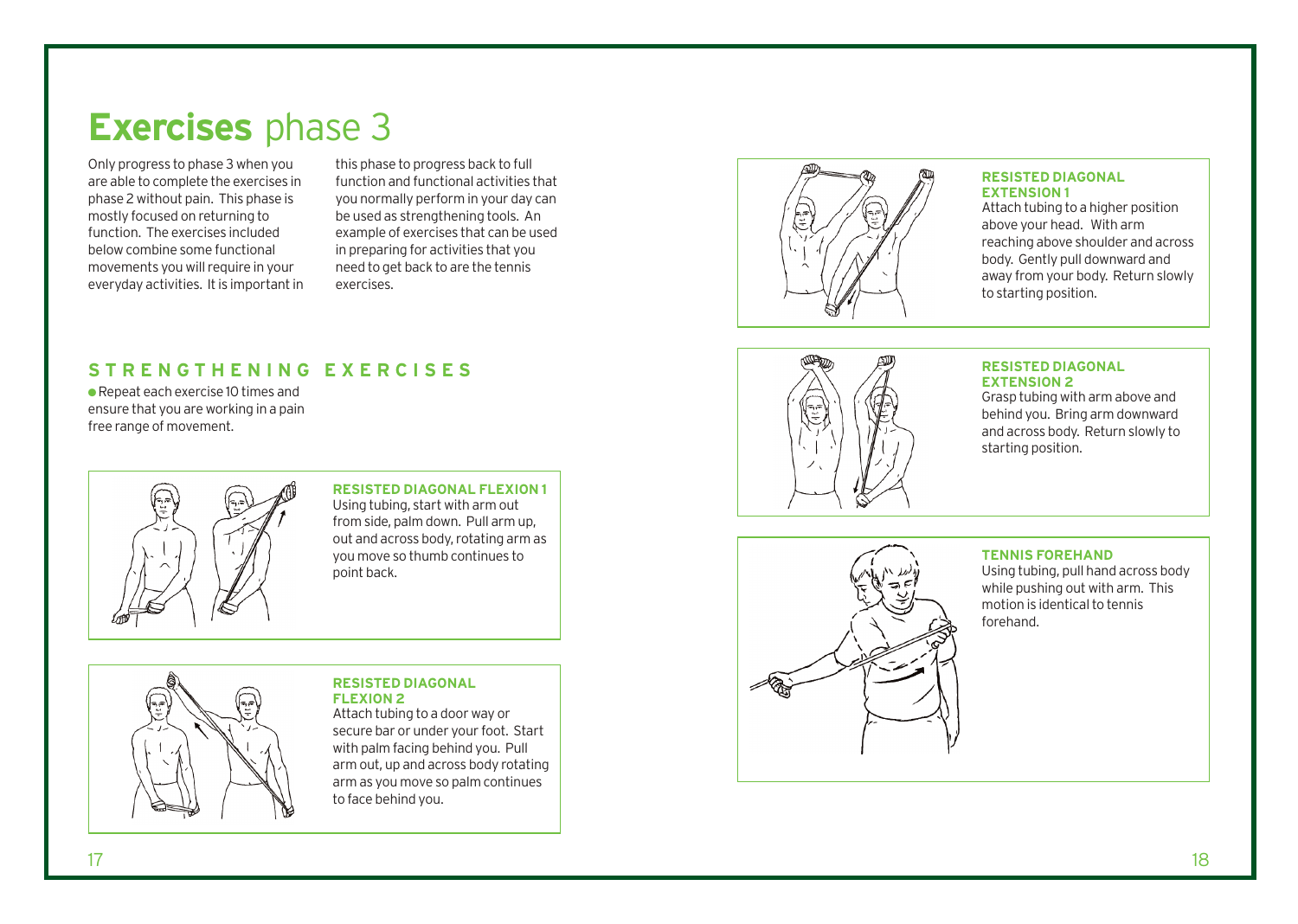# **Exercises** phase 3

Only progress to phase 3 when you are able to complete the exercises in phase 2 without pain. This phase is mostly focused on returning to function. The exercises included below combine some functional movements you will require in your everyday activities. It is important in

this phase to progress back to full function and functional activities that you normally perform in your day can be used as strengthening tools. An example of exercises that can be used in preparing for activities that you need to get back to are the tennis exercises.

## **S TRENGTHENING EXERCISES**

● Repeat each exercise 10 times and ensure that you are working in a pain free range of mo vemen t.



**RESISTED DIAGONAL FLEXION 1**  Using tubing, s tart with arm out from side, palm down. Pull arm up, out and across body, rotating arm as you move so thumb continues to point back.

#### **RESISTED DIAGONAL FLEXION 2**

Attach tubing to a door way or secure bar or under your foot. Start with palm facing behind you. Pull arm out, up and across body rotating arm as you move so palm continues to face behind you.



#### **RESISTED DIAGONAL EXTENSION 1**

Attach tubing to a higher position above your head. With arm reaching above shoulder and across body. Gently pull downward and away from your body. Return slowly to starting position.



#### **RESISTED DIAGONAL EXTENSION 2**

Grasp tubing with arm above and behind you. Bring arm downward and across body. Return slowly to starting position.



### **TENNIS FOREHAND**

Using tubing, pull hand across body while pushing out with arm. This motion is identical to tennis forehand.